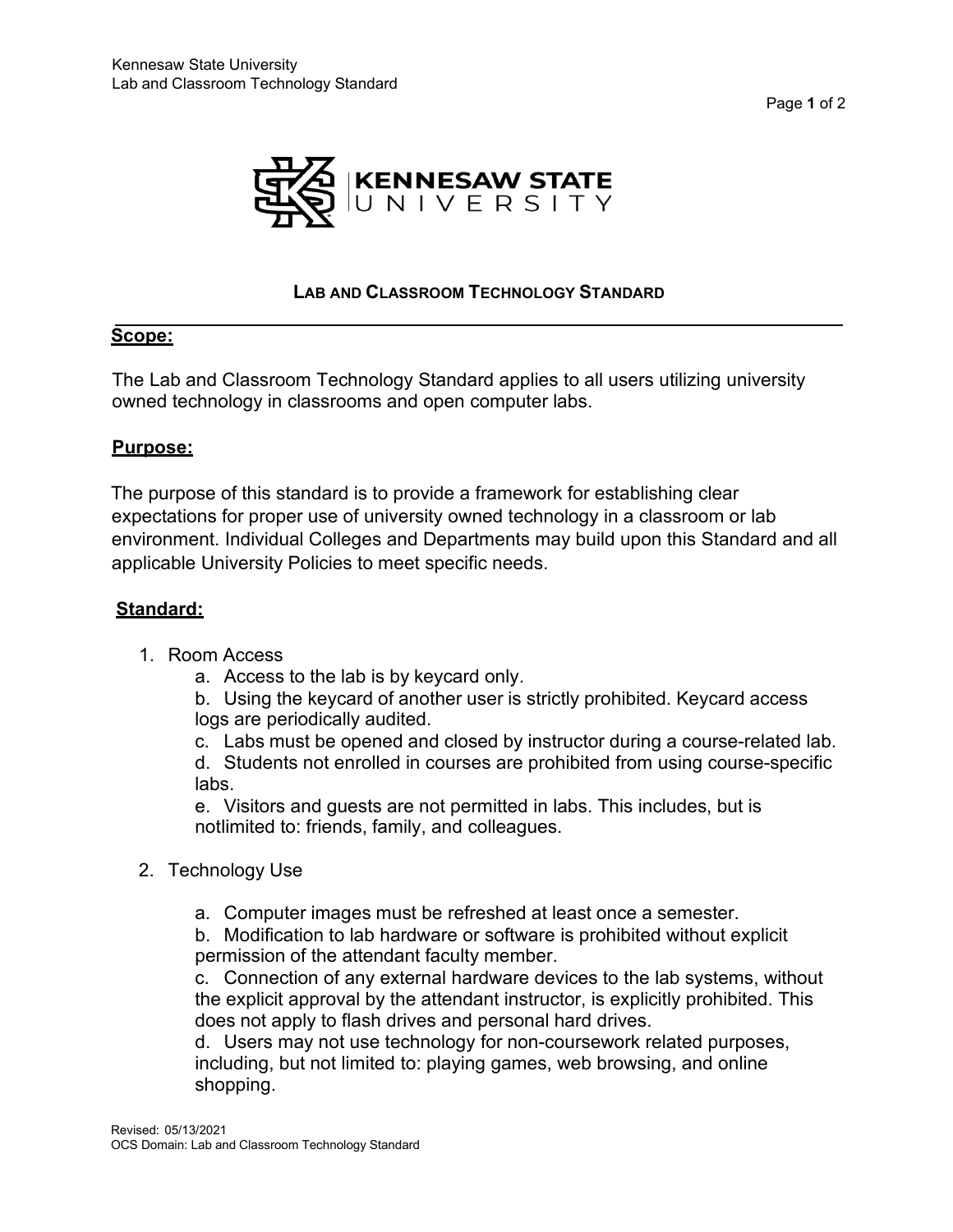Page **1** of 2



### **LAB AND CLASSROOM TECHNOLOGY STANDARD**

### **Scope:**

The Lab and Classroom Technology Standard applies to all users utilizing university owned technology in classrooms and open computer labs.

### **Purpose:**

The purpose of this standard is to provide a framework for establishing clear expectations for proper use of university owned technology in a classroom or lab environment. Individual Colleges and Departments may build upon this Standard and all applicable University Policies to meet specific needs.

# **Standard:**

- 1. Room Access
	- a. Access to the lab is by keycard only.

b. Using the keycard of another user is strictly prohibited. Keycard access logs are periodically audited.

c. Labs must be opened and closed by instructor during a course-related lab.

d. Students not enrolled in courses are prohibited from using course-specific labs.

e. Visitors and guests are not permitted in labs. This includes, but is notlimited to: friends, family, and colleagues.

- 2. Technology Use
	- a. Computer images must be refreshed at least once a semester.

b. Modification to lab hardware or software is prohibited without explicit permission of the attendant faculty member.

c. Connection of any external hardware devices to the lab systems, without the explicit approval by the attendant instructor, is explicitly prohibited. This does not apply to flash drives and personal hard drives.

d. Users may not use technology for non-coursework related purposes, including, but not limited to: playing games, web browsing, and online shopping.